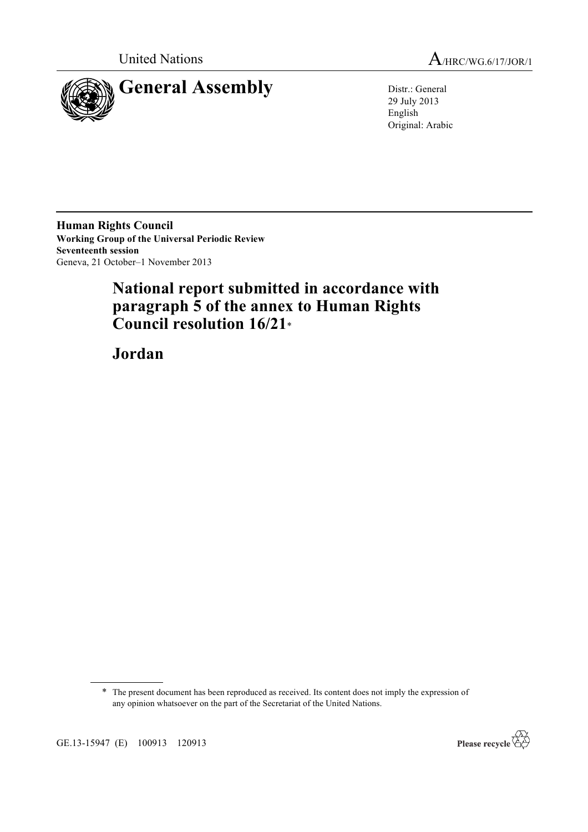



29 July 2013 English Original: Arabic

**Human Rights Council Working Group of the Universal Periodic Review Seventeenth session** Geneva, 21 October–1 November 2013

# **National report submitted in accordance with paragraph 5 of the annex to Human Rights Council resolution 16/21**\*

**Jordan**

\* The present document has been reproduced as received. Its content does not imply the expression of any opinion whatsoever on the part of the Secretariat of the United Nations.



GE.13-15947 (E) 100913 120913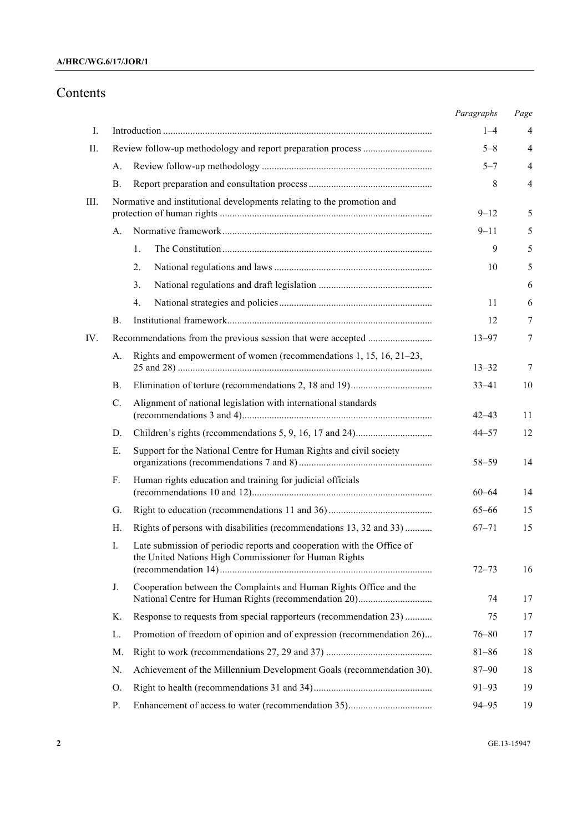# Contents

|      |                 |                                                                                                                                 | Paragraphs | Page           |
|------|-----------------|---------------------------------------------------------------------------------------------------------------------------------|------------|----------------|
| Ι.   |                 |                                                                                                                                 | $1 - 4$    | 4              |
| П.   |                 |                                                                                                                                 | $5 - 8$    | 4              |
|      | А.              |                                                                                                                                 | $5 - 7$    | $\overline{4}$ |
|      | В.              |                                                                                                                                 | 8          | $\overline{4}$ |
| III. |                 | Normative and institutional developments relating to the promotion and                                                          | $9 - 12$   | 5              |
|      | А.              |                                                                                                                                 | $9 - 11$   | 5              |
|      |                 | 1.                                                                                                                              | 9          | 5              |
|      |                 | 2.                                                                                                                              | 10         | 5              |
|      |                 | 3.                                                                                                                              |            | 6              |
|      |                 | 4.                                                                                                                              | 11         | 6              |
|      | В.              |                                                                                                                                 | 12         | 7              |
| IV.  |                 |                                                                                                                                 | $13 - 97$  | $\tau$         |
|      | A.              | Rights and empowerment of women (recommendations $1, 15, 16, 21-23$ ,                                                           | $13 - 32$  | 7              |
|      | В.              |                                                                                                                                 | $33 - 41$  | 10             |
|      | $\mathcal{C}$ . | Alignment of national legislation with international standards                                                                  | $42 - 43$  | 11             |
|      | D.              |                                                                                                                                 | $44 - 57$  | 12             |
|      | Е.              | Support for the National Centre for Human Rights and civil society                                                              | 58-59      | 14             |
|      | F.              | Human rights education and training for judicial officials                                                                      | $60 - 64$  | 14             |
|      | G.              |                                                                                                                                 | $65 - 66$  | 15             |
|      | Н.              | Rights of persons with disabilities (recommendations 13, 32 and 33)                                                             | $67 - 71$  | 15             |
|      | I.              | Late submission of periodic reports and cooperation with the Office of<br>the United Nations High Commissioner for Human Rights | $72 - 73$  | 16             |
|      | J.              | Cooperation between the Complaints and Human Rights Office and the                                                              | 74         | 17             |
|      | Κ.              | Response to requests from special rapporteurs (recommendation 23)                                                               | 75         | 17             |
|      | L.              | Promotion of freedom of opinion and of expression (recommendation 26)                                                           | $76 - 80$  | 17             |
|      | M.              |                                                                                                                                 | $81 - 86$  | 18             |
|      | N.              | Achievement of the Millennium Development Goals (recommendation 30).                                                            | $87 - 90$  | 18             |
|      | Ο.              |                                                                                                                                 | $91 - 93$  | 19             |
|      | Ρ.              |                                                                                                                                 | $94 - 95$  | 19             |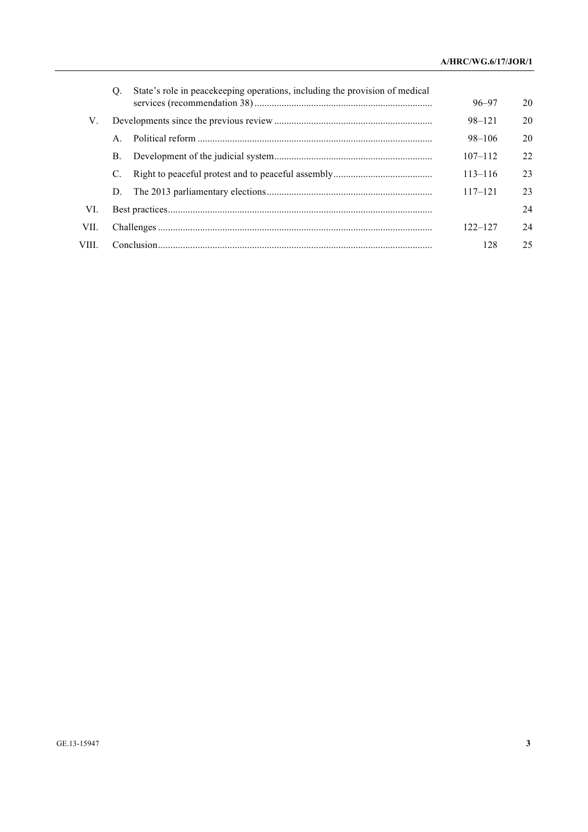|        | O.             | State's role in peacekeeping operations, including the provision of medical |             |    |
|--------|----------------|-----------------------------------------------------------------------------|-------------|----|
|        |                |                                                                             | $96 - 97$   | 20 |
| V.     |                |                                                                             | $98 - 121$  | 20 |
|        | A <sub>1</sub> |                                                                             | 98-106      | 20 |
|        | B.             |                                                                             | $107 - 112$ | 22 |
|        | C.             |                                                                             | $113 - 116$ | 23 |
|        | D.             |                                                                             | $117 - 121$ | 23 |
| VI.    |                |                                                                             |             | 24 |
| VII.   |                |                                                                             | $122 - 127$ | 24 |
| VIII - |                |                                                                             |             | 25 |
|        |                |                                                                             |             |    |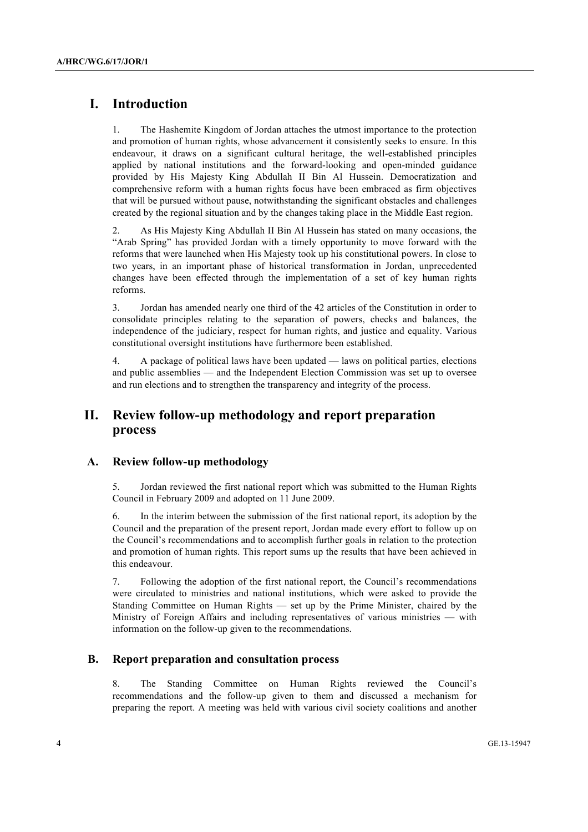# **I. Introduction**

1. The Hashemite Kingdom of Jordan attaches the utmost importance to the protection and promotion of human rights, whose advancement it consistently seeks to ensure. In this endeavour, it draws on a significant cultural heritage, the well-established principles applied by national institutions and the forward-looking and open-minded guidance provided by His Majesty King Abdullah II Bin Al Hussein. Democratization and comprehensive reform with a human rights focus have been embraced as firm objectives that will be pursued without pause, notwithstanding the significant obstacles and challenges created by the regional situation and by the changes taking place in the Middle East region.

2. As His Majesty King Abdullah II Bin Al Hussein has stated on many occasions, the "Arab Spring" has provided Jordan with a timely opportunity to move forward with the reforms that were launched when His Majesty took up his constitutional powers. In close to two years, in an important phase of historical transformation in Jordan, unprecedented changes have been effected through the implementation of a set of key human rights reforms.

3. Jordan has amended nearly one third of the 42 articles of the Constitution in order to consolidate principles relating to the separation of powers, checks and balances, the independence of the judiciary, respect for human rights, and justice and equality. Various constitutional oversight institutions have furthermore been established.

4. A package of political laws have been updated — laws on political parties, elections and public assemblies — and the Independent Election Commission was set up to oversee and run elections and to strengthen the transparency and integrity of the process.

# **II. Review follow-up methodology and report preparation process**

### **A. Review follow-up methodology**

5. Jordan reviewed the first national report which was submitted to the Human Rights Council in February 2009 and adopted on 11 June 2009.

6. In the interim between the submission of the first national report, its adoption by the Council and the preparation of the present report, Jordan made every effort to follow up on the Council's recommendations and to accomplish further goals in relation to the protection and promotion of human rights. This report sums up the results that have been achieved in this endeavour.

7. Following the adoption of the first national report, the Council's recommendations were circulated to ministries and national institutions, which were asked to provide the Standing Committee on Human Rights — set up by the Prime Minister, chaired by the Ministry of Foreign Affairs and including representatives of various ministries — with information on the follow-up given to the recommendations.

### **B. Report preparation and consultation process**

8. The Standing Committee on Human Rights reviewed the Council's recommendations and the follow-up given to them and discussed a mechanism for preparing the report. A meeting was held with various civil society coalitions and another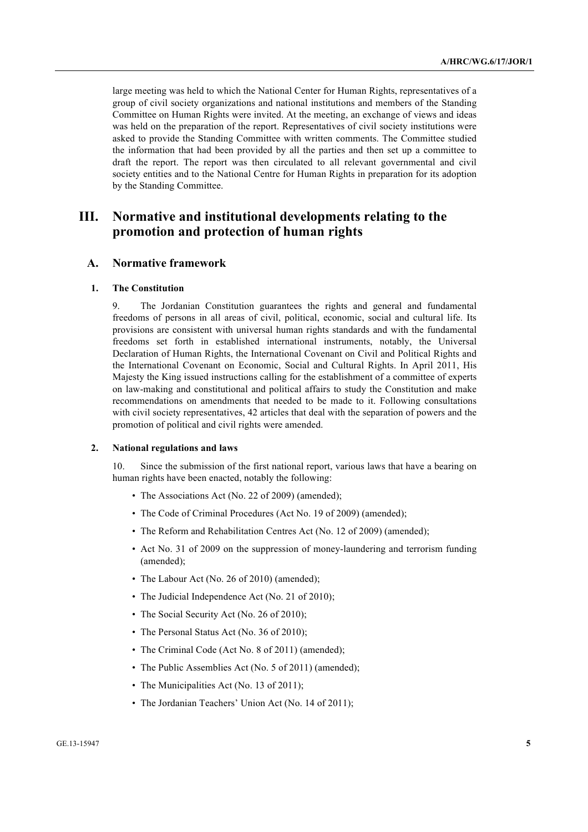large meeting was held to which the National Center for Human Rights, representatives of a group of civil society organizations and national institutions and members of the Standing Committee on Human Rights were invited. At the meeting, an exchange of views and ideas was held on the preparation of the report. Representatives of civil society institutions were asked to provide the Standing Committee with written comments. The Committee studied the information that had been provided by all the parties and then set up a committee to draft the report. The report was then circulated to all relevant governmental and civil society entities and to the National Centre for Human Rights in preparation for its adoption by the Standing Committee.

# **III. Normative and institutional developments relating to the promotion and protection of human rights**

#### **A. Normative framework**

#### **1. The Constitution**

9. The Jordanian Constitution guarantees the rights and general and fundamental freedoms of persons in all areas of civil, political, economic, social and cultural life. Its provisions are consistent with universal human rights standards and with the fundamental freedoms set forth in established international instruments, notably, the Universal Declaration of Human Rights, the International Covenant on Civil and Political Rights and the International Covenant on Economic, Social and Cultural Rights. In April 2011, His Majesty the King issued instructions calling for the establishment of a committee of experts on law-making and constitutional and political affairs to study the Constitution and make recommendations on amendments that needed to be made to it. Following consultations with civil society representatives, 42 articles that deal with the separation of powers and the promotion of political and civil rights were amended.

#### **2. National regulations and laws**

10. Since the submission of the first national report, various laws that have a bearing on human rights have been enacted, notably the following:

- The Associations Act (No. 22 of 2009) (amended);
- The Code of Criminal Procedures (Act No. 19 of 2009) (amended);
- The Reform and Rehabilitation Centres Act (No. 12 of 2009) (amended);
- Act No. 31 of 2009 on the suppression of money-laundering and terrorism funding (amended);
- The Labour Act (No. 26 of 2010) (amended);
- The Judicial Independence Act (No. 21 of 2010);
- The Social Security Act (No. 26 of 2010);
- The Personal Status Act (No. 36 of 2010);
- The Criminal Code (Act No. 8 of 2011) (amended);
- The Public Assemblies Act (No. 5 of 2011) (amended);
- The Municipalities Act (No. 13 of 2011);
- The Jordanian Teachers' Union Act (No. 14 of 2011);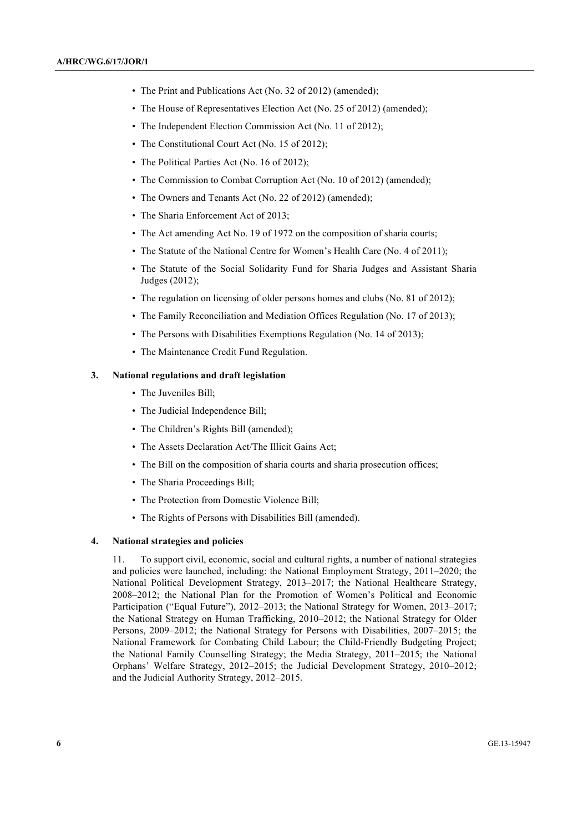- The Print and Publications Act (No. 32 of 2012) (amended);
- The House of Representatives Election Act (No. 25 of 2012) (amended);
- The Independent Election Commission Act (No. 11 of 2012);
- The Constitutional Court Act (No. 15 of 2012);
- The Political Parties Act (No. 16 of 2012);
- The Commission to Combat Corruption Act (No. 10 of 2012) (amended);
- The Owners and Tenants Act (No. 22 of 2012) (amended);
- The Sharia Enforcement Act of 2013;
- The Act amending Act No. 19 of 1972 on the composition of sharia courts;
- The Statute of the National Centre for Women's Health Care (No. 4 of 2011);
- The Statute of the Social Solidarity Fund for Sharia Judges and Assistant Sharia Judges (2012);
- The regulation on licensing of older persons homes and clubs (No. 81 of 2012);
- The Family Reconciliation and Mediation Offices Regulation (No. 17 of 2013);
- The Persons with Disabilities Exemptions Regulation (No. 14 of 2013);
- The Maintenance Credit Fund Regulation.

#### **3. National regulations and draft legislation**

- The Juveniles Bill;
- The Judicial Independence Bill;
- The Children's Rights Bill (amended);
- The Assets Declaration Act/The Illicit Gains Act;
- The Bill on the composition of sharia courts and sharia prosecution offices;
- The Sharia Proceedings Bill;
- The Protection from Domestic Violence Bill;
- The Rights of Persons with Disabilities Bill (amended).

#### **4. National strategies and policies**

11. To support civil, economic, social and cultural rights, a number of national strategies and policies were launched, including: the National Employment Strategy, 2011–2020; the National Political Development Strategy, 2013–2017; the National Healthcare Strategy, 2008–2012; the National Plan for the Promotion of Women's Political and Economic Participation ("Equal Future"), 2012–2013; the National Strategy for Women, 2013–2017; the National Strategy on Human Trafficking, 2010–2012; the National Strategy for Older Persons, 2009–2012; the National Strategy for Persons with Disabilities, 2007–2015; the National Framework for Combating Child Labour; the Child-Friendly Budgeting Project; the National Family Counselling Strategy; the Media Strategy, 2011–2015; the National Orphans' Welfare Strategy, 2012–2015; the Judicial Development Strategy, 2010–2012; and the Judicial Authority Strategy, 2012–2015.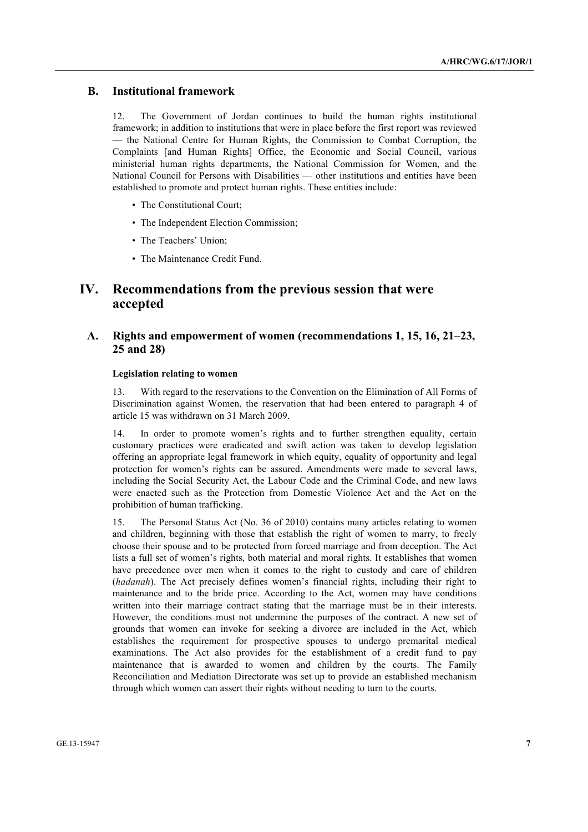### **B. Institutional framework**

12. The Government of Jordan continues to build the human rights institutional framework; in addition to institutions that were in place before the first report was reviewed — the National Centre for Human Rights, the Commission to Combat Corruption, the Complaints [and Human Rights] Office, the Economic and Social Council, various ministerial human rights departments, the National Commission for Women, and the National Council for Persons with Disabilities — other institutions and entities have been established to promote and protect human rights. These entities include:

- The Constitutional Court:
- The Independent Election Commission;
- The Teachers' Union;
- The Maintenance Credit Fund.

# **IV. Recommendations from the previous session that were accepted**

### **A. Rights and empowerment of women (recommendations 1, 15, 16, 21–23, 25 and 28)**

#### **Legislation relating to women**

13. With regard to the reservations to the Convention on the Elimination of All Forms of Discrimination against Women, the reservation that had been entered to paragraph 4 of article 15 was withdrawn on 31 March 2009.

14. In order to promote women's rights and to further strengthen equality, certain customary practices were eradicated and swift action was taken to develop legislation offering an appropriate legal framework in which equity, equality of opportunity and legal protection for women's rights can be assured. Amendments were made to several laws, including the Social Security Act, the Labour Code and the Criminal Code, and new laws were enacted such as the Protection from Domestic Violence Act and the Act on the prohibition of human trafficking.

15. The Personal Status Act (No. 36 of 2010) contains many articles relating to women and children, beginning with those that establish the right of women to marry, to freely choose their spouse and to be protected from forced marriage and from deception. The Act lists a full set of women's rights, both material and moral rights. It establishes that women have precedence over men when it comes to the right to custody and care of children (*hadanah*). The Act precisely defines women's financial rights, including their right to maintenance and to the bride price. According to the Act, women may have conditions written into their marriage contract stating that the marriage must be in their interests. However, the conditions must not undermine the purposes of the contract. A new set of grounds that women can invoke for seeking a divorce are included in the Act, which establishes the requirement for prospective spouses to undergo premarital medical examinations. The Act also provides for the establishment of a credit fund to pay maintenance that is awarded to women and children by the courts. The Family Reconciliation and Mediation Directorate was set up to provide an established mechanism through which women can assert their rights without needing to turn to the courts.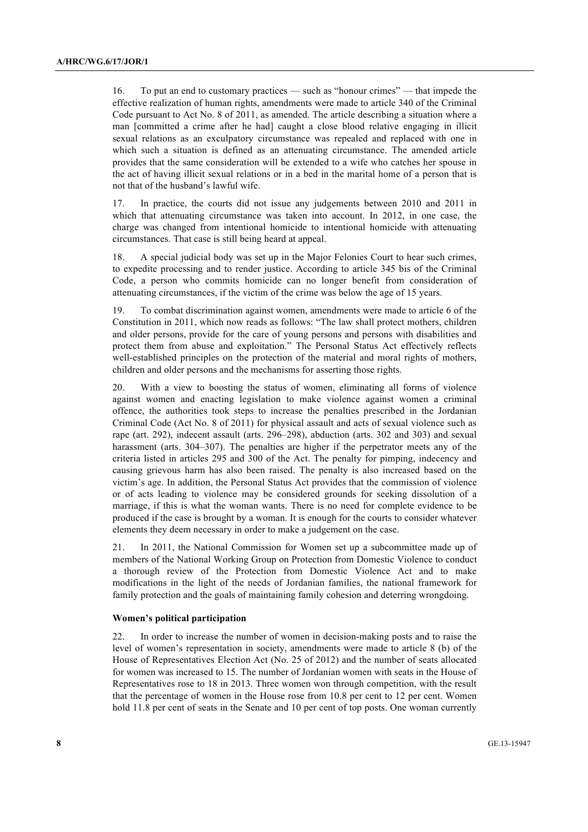16. To put an end to customary practices — such as "honour crimes" — that impede the effective realization of human rights, amendments were made to article 340 of the Criminal Code pursuant to Act No. 8 of 2011, as amended. The article describing a situation where a man [committed a crime after he had] caught a close blood relative engaging in illicit sexual relations as an exculpatory circumstance was repealed and replaced with one in which such a situation is defined as an attenuating circumstance. The amended article provides that the same consideration will be extended to a wife who catches her spouse in the act of having illicit sexual relations or in a bed in the marital home of a person that is not that of the husband's lawful wife.

17. In practice, the courts did not issue any judgements between 2010 and 2011 in which that attenuating circumstance was taken into account. In 2012, in one case, the charge was changed from intentional homicide to intentional homicide with attenuating circumstances. That case is still being heard at appeal.

18. A special judicial body was set up in the Major Felonies Court to hear such crimes, to expedite processing and to render justice. According to article 345 bis of the Criminal Code, a person who commits homicide can no longer benefit from consideration of attenuating circumstances, if the victim of the crime was below the age of 15 years.

19. To combat discrimination against women, amendments were made to article 6 of the Constitution in 2011, which now reads as follows: "The law shall protect mothers, children and older persons, provide for the care of young persons and persons with disabilities and protect them from abuse and exploitation." The Personal Status Act effectively reflects well-established principles on the protection of the material and moral rights of mothers, children and older persons and the mechanisms for asserting those rights.

20. With a view to boosting the status of women, eliminating all forms of violence against women and enacting legislation to make violence against women a criminal offence, the authorities took steps to increase the penalties prescribed in the Jordanian Criminal Code (Act No. 8 of 2011) for physical assault and acts of sexual violence such as rape (art. 292), indecent assault (arts. 296–298), abduction (arts. 302 and 303) and sexual harassment (arts. 304–307). The penalties are higher if the perpetrator meets any of the criteria listed in articles 295 and 300 of the Act. The penalty for pimping, indecency and causing grievous harm has also been raised. The penalty is also increased based on the victim's age. In addition, the Personal Status Act provides that the commission of violence or of acts leading to violence may be considered grounds for seeking dissolution of a marriage, if this is what the woman wants. There is no need for complete evidence to be produced if the case is brought by a woman. It is enough for the courts to consider whatever elements they deem necessary in order to make a judgement on the case.

21. In 2011, the National Commission for Women set up a subcommittee made up of members of the National Working Group on Protection from Domestic Violence to conduct a thorough review of the Protection from Domestic Violence Act and to make modifications in the light of the needs of Jordanian families, the national framework for family protection and the goals of maintaining family cohesion and deterring wrongdoing.

#### **Women's political participation**

22. In order to increase the number of women in decision-making posts and to raise the level of women's representation in society, amendments were made to article 8 (b) of the House of Representatives Election Act (No. 25 of 2012) and the number of seats allocated for women was increased to 15. The number of Jordanian women with seats in the House of Representatives rose to 18 in 2013. Three women won through competition, with the result that the percentage of women in the House rose from 10.8 per cent to 12 per cent. Women hold 11.8 per cent of seats in the Senate and 10 per cent of top posts. One woman currently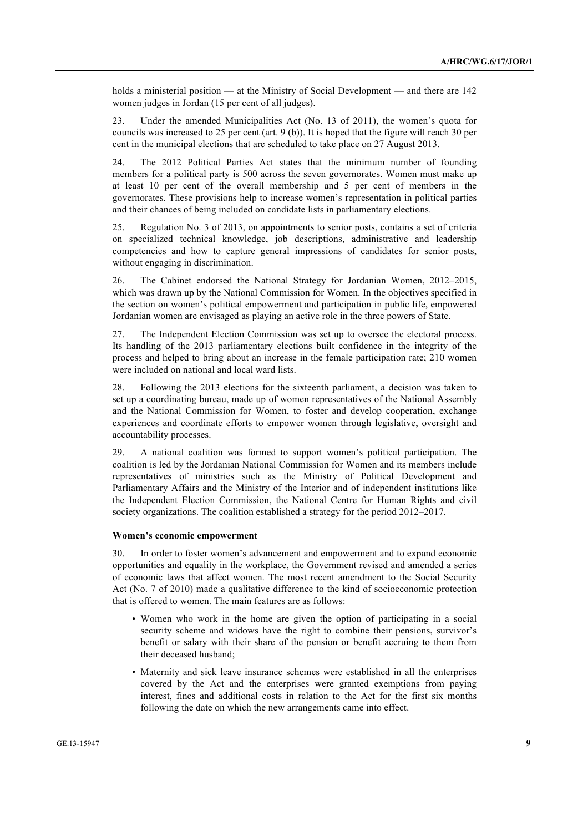holds a ministerial position — at the Ministry of Social Development — and there are 142 women judges in Jordan (15 per cent of all judges).

23. Under the amended Municipalities Act (No. 13 of 2011), the women's quota for councils was increased to 25 per cent (art. 9 (b)). It is hoped that the figure will reach 30 per cent in the municipal elections that are scheduled to take place on 27 August 2013.

24. The 2012 Political Parties Act states that the minimum number of founding members for a political party is 500 across the seven governorates. Women must make up at least 10 per cent of the overall membership and 5 per cent of members in the governorates. These provisions help to increase women's representation in political parties and their chances of being included on candidate lists in parliamentary elections.

25. Regulation No. 3 of 2013, on appointments to senior posts, contains a set of criteria on specialized technical knowledge, job descriptions, administrative and leadership competencies and how to capture general impressions of candidates for senior posts, without engaging in discrimination.

26. The Cabinet endorsed the National Strategy for Jordanian Women, 2012–2015, which was drawn up by the National Commission for Women. In the objectives specified in the section on women's political empowerment and participation in public life, empowered Jordanian women are envisaged as playing an active role in the three powers of State.

27. The Independent Election Commission was set up to oversee the electoral process. Its handling of the 2013 parliamentary elections built confidence in the integrity of the process and helped to bring about an increase in the female participation rate; 210 women were included on national and local ward lists.

28. Following the 2013 elections for the sixteenth parliament, a decision was taken to set up a coordinating bureau, made up of women representatives of the National Assembly and the National Commission for Women, to foster and develop cooperation, exchange experiences and coordinate efforts to empower women through legislative, oversight and accountability processes.

29. A national coalition was formed to support women's political participation. The coalition is led by the Jordanian National Commission for Women and its members include representatives of ministries such as the Ministry of Political Development and Parliamentary Affairs and the Ministry of the Interior and of independent institutions like the Independent Election Commission, the National Centre for Human Rights and civil society organizations. The coalition established a strategy for the period 2012–2017.

#### **Women's economic empowerment**

30. In order to foster women's advancement and empowerment and to expand economic opportunities and equality in the workplace, the Government revised and amended a series of economic laws that affect women. The most recent amendment to the Social Security Act (No. 7 of 2010) made a qualitative difference to the kind of socioeconomic protection that is offered to women. The main features are as follows:

- Women who work in the home are given the option of participating in a social security scheme and widows have the right to combine their pensions, survivor's benefit or salary with their share of the pension or benefit accruing to them from their deceased husband;
- Maternity and sick leave insurance schemes were established in all the enterprises covered by the Act and the enterprises were granted exemptions from paying interest, fines and additional costs in relation to the Act for the first six months following the date on which the new arrangements came into effect.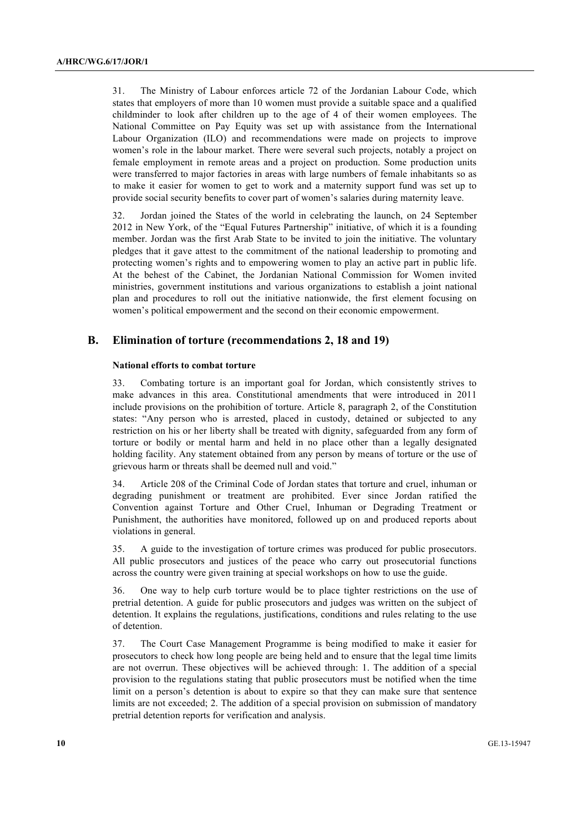31. The Ministry of Labour enforces article 72 of the Jordanian Labour Code, which states that employers of more than 10 women must provide a suitable space and a qualified childminder to look after children up to the age of 4 of their women employees. The National Committee on Pay Equity was set up with assistance from the International Labour Organization (ILO) and recommendations were made on projects to improve women's role in the labour market. There were several such projects, notably a project on female employment in remote areas and a project on production. Some production units were transferred to major factories in areas with large numbers of female inhabitants so as to make it easier for women to get to work and a maternity support fund was set up to provide social security benefits to cover part of women's salaries during maternity leave.

32. Jordan joined the States of the world in celebrating the launch, on 24 September 2012 in New York, of the "Equal Futures Partnership" initiative, of which it is a founding member. Jordan was the first Arab State to be invited to join the initiative. The voluntary pledges that it gave attest to the commitment of the national leadership to promoting and protecting women's rights and to empowering women to play an active part in public life. At the behest of the Cabinet, the Jordanian National Commission for Women invited ministries, government institutions and various organizations to establish a joint national plan and procedures to roll out the initiative nationwide, the first element focusing on women's political empowerment and the second on their economic empowerment.

### **B. Elimination of torture (recommendations 2, 18 and 19)**

#### **National efforts to combat torture**

33. Combating torture is an important goal for Jordan, which consistently strives to make advances in this area. Constitutional amendments that were introduced in 2011 include provisions on the prohibition of torture. Article 8, paragraph 2, of the Constitution states: "Any person who is arrested, placed in custody, detained or subjected to any restriction on his or her liberty shall be treated with dignity, safeguarded from any form of torture or bodily or mental harm and held in no place other than a legally designated holding facility. Any statement obtained from any person by means of torture or the use of grievous harm or threats shall be deemed null and void."

34. Article 208 of the Criminal Code of Jordan states that torture and cruel, inhuman or degrading punishment or treatment are prohibited. Ever since Jordan ratified the Convention against Torture and Other Cruel, Inhuman or Degrading Treatment or Punishment, the authorities have monitored, followed up on and produced reports about violations in general.

35. A guide to the investigation of torture crimes was produced for public prosecutors. All public prosecutors and justices of the peace who carry out prosecutorial functions across the country were given training at special workshops on how to use the guide.

36. One way to help curb torture would be to place tighter restrictions on the use of pretrial detention. A guide for public prosecutors and judges was written on the subject of detention. It explains the regulations, justifications, conditions and rules relating to the use of detention.

37. The Court Case Management Programme is being modified to make it easier for prosecutors to check how long people are being held and to ensure that the legal time limits are not overrun. These objectives will be achieved through: 1. The addition of a special provision to the regulations stating that public prosecutors must be notified when the time limit on a person's detention is about to expire so that they can make sure that sentence limits are not exceeded; 2. The addition of a special provision on submission of mandatory pretrial detention reports for verification and analysis.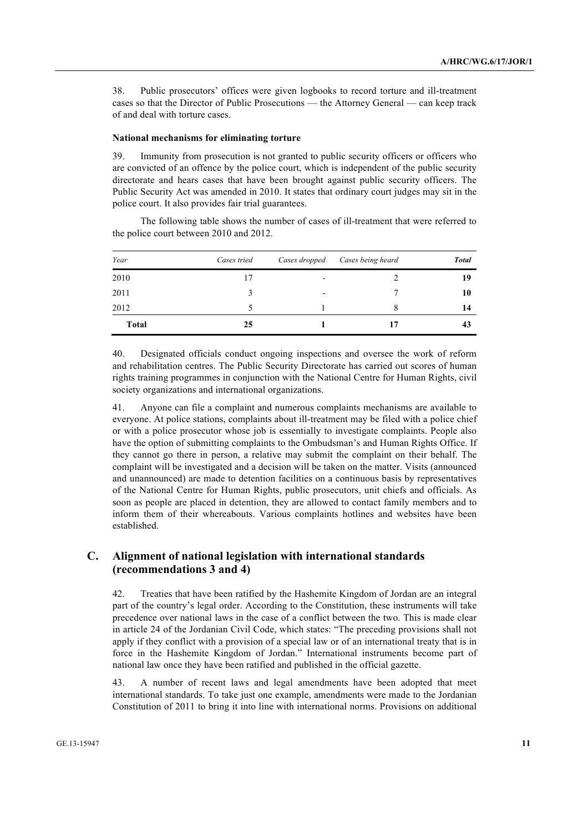38. Public prosecutors' offices were given logbooks to record torture and ill-treatment cases so that the Director of Public Prosecutions — the Attorney General — can keep track of and deal with torture cases.

#### **National mechanisms for eliminating torture**

39. Immunity from prosecution is not granted to public security officers or officers who are convicted of an offence by the police court, which is independent of the public security directorate and hears cases that have been brought against public security officers. The Public Security Act was amended in 2010. It states that ordinary court judges may sit in the police court. It also provides fair trial guarantees.

The following table shows the number of cases of ill-treatment that were referred to the police court between 2010 and 2012.

| Year         | Cases tried | Cases dropped            | Cases being heard | <b>Total</b> |
|--------------|-------------|--------------------------|-------------------|--------------|
| 2010         | 17          | $\overline{\phantom{0}}$ |                   | 19           |
| 2011         |             | $\overline{\phantom{a}}$ |                   | 10           |
| 2012         |             |                          | 8                 | 14           |
| <b>Total</b> | 25          |                          |                   | 43           |

40. Designated officials conduct ongoing inspections and oversee the work of reform and rehabilitation centres. The Public Security Directorate has carried out scores of human rights training programmes in conjunction with the National Centre for Human Rights, civil society organizations and international organizations.

41. Anyone can file a complaint and numerous complaints mechanisms are available to everyone. At police stations, complaints about ill-treatment may be filed with a police chief or with a police prosecutor whose job is essentially to investigate complaints. People also have the option of submitting complaints to the Ombudsman's and Human Rights Office. If they cannot go there in person, a relative may submit the complaint on their behalf. The complaint will be investigated and a decision will be taken on the matter. Visits (announced and unannounced) are made to detention facilities on a continuous basis by representatives of the National Centre for Human Rights, public prosecutors, unit chiefs and officials. As soon as people are placed in detention, they are allowed to contact family members and to inform them of their whereabouts. Various complaints hotlines and websites have been established.

### **C. Alignment of national legislation with international standards (recommendations 3 and 4)**

42. Treaties that have been ratified by the Hashemite Kingdom of Jordan are an integral part of the country's legal order. According to the Constitution, these instruments will take precedence over national laws in the case of a conflict between the two. This is made clear in article 24 of the Jordanian Civil Code, which states: "The preceding provisions shall not apply if they conflict with a provision of a special law or of an international treaty that is in force in the Hashemite Kingdom of Jordan." International instruments become part of national law once they have been ratified and published in the official gazette.

43. A number of recent laws and legal amendments have been adopted that meet international standards. To take just one example, amendments were made to the Jordanian Constitution of 2011 to bring it into line with international norms. Provisions on additional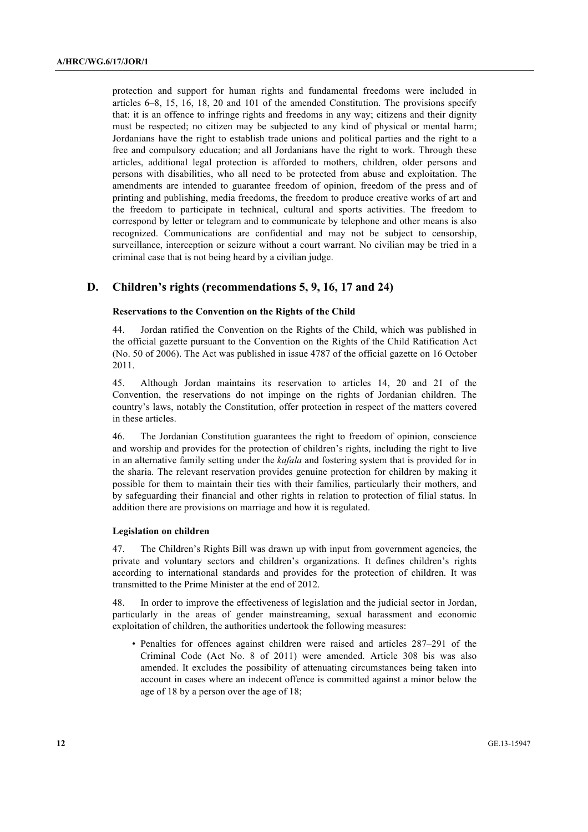protection and support for human rights and fundamental freedoms were included in articles 6–8, 15, 16, 18, 20 and 101 of the amended Constitution. The provisions specify that: it is an offence to infringe rights and freedoms in any way; citizens and their dignity must be respected; no citizen may be subjected to any kind of physical or mental harm; Jordanians have the right to establish trade unions and political parties and the right to a free and compulsory education; and all Jordanians have the right to work. Through these articles, additional legal protection is afforded to mothers, children, older persons and persons with disabilities, who all need to be protected from abuse and exploitation. The amendments are intended to guarantee freedom of opinion, freedom of the press and of printing and publishing, media freedoms, the freedom to produce creative works of art and the freedom to participate in technical, cultural and sports activities. The freedom to correspond by letter or telegram and to communicate by telephone and other means is also recognized. Communications are confidential and may not be subject to censorship, surveillance, interception or seizure without a court warrant. No civilian may be tried in a criminal case that is not being heard by a civilian judge.

### **D. Children's rights (recommendations 5, 9, 16, 17 and 24)**

#### **Reservations to the Convention on the Rights of the Child**

44. Jordan ratified the Convention on the Rights of the Child, which was published in the official gazette pursuant to the Convention on the Rights of the Child Ratification Act (No. 50 of 2006). The Act was published in issue 4787 of the official gazette on 16 October 2011.

45. Although Jordan maintains its reservation to articles 14, 20 and 21 of the Convention, the reservations do not impinge on the rights of Jordanian children. The country's laws, notably the Constitution, offer protection in respect of the matters covered in these articles.

46. The Jordanian Constitution guarantees the right to freedom of opinion, conscience and worship and provides for the protection of children's rights, including the right to live in an alternative family setting under the *kafala* and fostering system that is provided for in the sharia. The relevant reservation provides genuine protection for children by making it possible for them to maintain their ties with their families, particularly their mothers, and by safeguarding their financial and other rights in relation to protection of filial status. In addition there are provisions on marriage and how it is regulated.

#### **Legislation on children**

47. The Children's Rights Bill was drawn up with input from government agencies, the private and voluntary sectors and children's organizations. It defines children's rights according to international standards and provides for the protection of children. It was transmitted to the Prime Minister at the end of 2012.

48. In order to improve the effectiveness of legislation and the judicial sector in Jordan, particularly in the areas of gender mainstreaming, sexual harassment and economic exploitation of children, the authorities undertook the following measures:

• Penalties for offences against children were raised and articles 287–291 of the Criminal Code (Act No. 8 of 2011) were amended. Article 308 bis was also amended. It excludes the possibility of attenuating circumstances being taken into account in cases where an indecent offence is committed against a minor below the age of 18 by a person over the age of 18;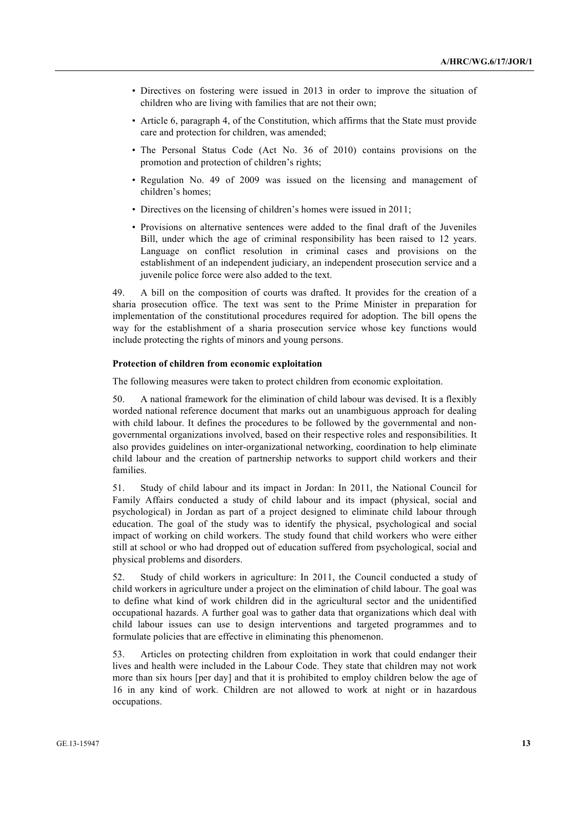- Directives on fostering were issued in 2013 in order to improve the situation of children who are living with families that are not their own;
- Article 6, paragraph 4, of the Constitution, which affirms that the State must provide care and protection for children, was amended;
- The Personal Status Code (Act No. 36 of 2010) contains provisions on the promotion and protection of children's rights;
- Regulation No. 49 of 2009 was issued on the licensing and management of children's homes;
- Directives on the licensing of children's homes were issued in 2011;
- Provisions on alternative sentences were added to the final draft of the Juveniles Bill, under which the age of criminal responsibility has been raised to 12 years. Language on conflict resolution in criminal cases and provisions on the establishment of an independent judiciary, an independent prosecution service and a juvenile police force were also added to the text.

49. A bill on the composition of courts was drafted. It provides for the creation of a sharia prosecution office. The text was sent to the Prime Minister in preparation for implementation of the constitutional procedures required for adoption. The bill opens the way for the establishment of a sharia prosecution service whose key functions would include protecting the rights of minors and young persons.

#### **Protection of children from economic exploitation**

The following measures were taken to protect children from economic exploitation.

50. A national framework for the elimination of child labour was devised. It is a flexibly worded national reference document that marks out an unambiguous approach for dealing with child labour. It defines the procedures to be followed by the governmental and nongovernmental organizations involved, based on their respective roles and responsibilities. It also provides guidelines on inter-organizational networking, coordination to help eliminate child labour and the creation of partnership networks to support child workers and their families.

51. Study of child labour and its impact in Jordan: In 2011, the National Council for Family Affairs conducted a study of child labour and its impact (physical, social and psychological) in Jordan as part of a project designed to eliminate child labour through education. The goal of the study was to identify the physical, psychological and social impact of working on child workers. The study found that child workers who were either still at school or who had dropped out of education suffered from psychological, social and physical problems and disorders.

52. Study of child workers in agriculture: In 2011, the Council conducted a study of child workers in agriculture under a project on the elimination of child labour. The goal was to define what kind of work children did in the agricultural sector and the unidentified occupational hazards. A further goal was to gather data that organizations which deal with child labour issues can use to design interventions and targeted programmes and to formulate policies that are effective in eliminating this phenomenon.

53. Articles on protecting children from exploitation in work that could endanger their lives and health were included in the Labour Code. They state that children may not work more than six hours [per day] and that it is prohibited to employ children below the age of 16 in any kind of work. Children are not allowed to work at night or in hazardous occupations.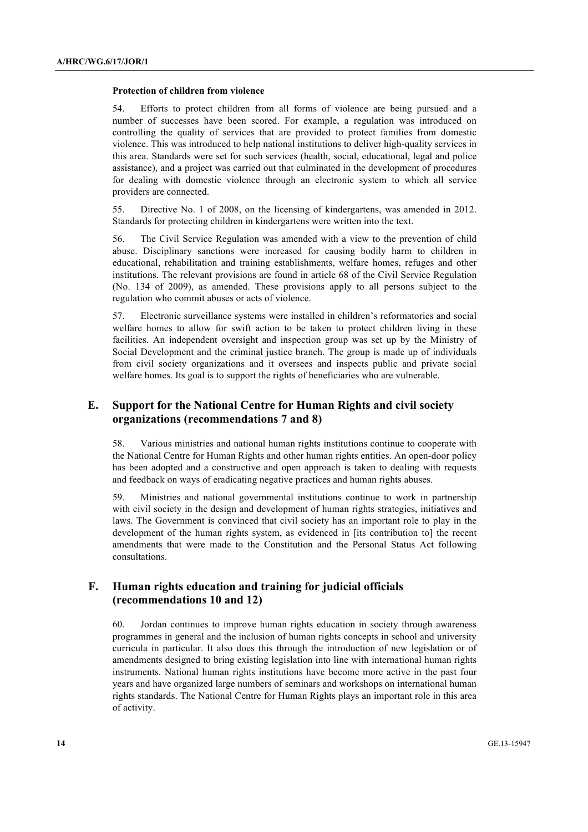#### **Protection of children from violence**

Efforts to protect children from all forms of violence are being pursued and a number of successes have been scored. For example, a regulation was introduced on controlling the quality of services that are provided to protect families from domestic violence. This was introduced to help national institutions to deliver high-quality services in this area. Standards were set for such services (health, social, educational, legal and police assistance), and a project was carried out that culminated in the development of procedures for dealing with domestic violence through an electronic system to which all service providers are connected.

55. Directive No. 1 of 2008, on the licensing of kindergartens, was amended in 2012. Standards for protecting children in kindergartens were written into the text.

56. The Civil Service Regulation was amended with a view to the prevention of child abuse. Disciplinary sanctions were increased for causing bodily harm to children in educational, rehabilitation and training establishments, welfare homes, refuges and other institutions. The relevant provisions are found in article 68 of the Civil Service Regulation (No. 134 of 2009), as amended. These provisions apply to all persons subject to the regulation who commit abuses or acts of violence.

57. Electronic surveillance systems were installed in children's reformatories and social welfare homes to allow for swift action to be taken to protect children living in these facilities. An independent oversight and inspection group was set up by the Ministry of Social Development and the criminal justice branch. The group is made up of individuals from civil society organizations and it oversees and inspects public and private social welfare homes. Its goal is to support the rights of beneficiaries who are vulnerable.

### **E. Support for the National Centre for Human Rights and civil society organizations (recommendations 7 and 8)**

58. Various ministries and national human rights institutions continue to cooperate with the National Centre for Human Rights and other human rights entities. An open-door policy has been adopted and a constructive and open approach is taken to dealing with requests and feedback on ways of eradicating negative practices and human rights abuses.

59. Ministries and national governmental institutions continue to work in partnership with civil society in the design and development of human rights strategies, initiatives and laws. The Government is convinced that civil society has an important role to play in the development of the human rights system, as evidenced in [its contribution to] the recent amendments that were made to the Constitution and the Personal Status Act following consultations.

### **F. Human rights education and training for judicial officials (recommendations 10 and 12)**

60. Jordan continues to improve human rights education in society through awareness programmes in general and the inclusion of human rights concepts in school and university curricula in particular. It also does this through the introduction of new legislation or of amendments designed to bring existing legislation into line with international human rights instruments. National human rights institutions have become more active in the past four years and have organized large numbers of seminars and workshops on international human rights standards. The National Centre for Human Rights plays an important role in this area of activity.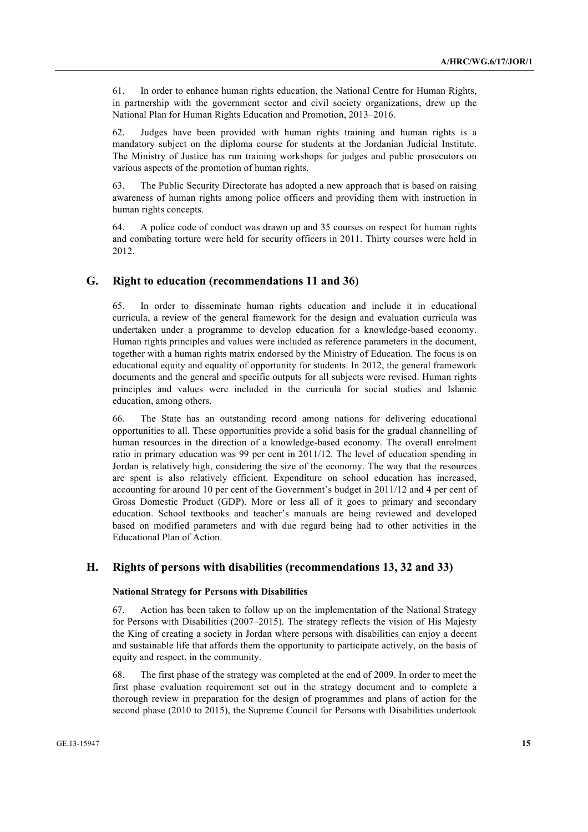61. In order to enhance human rights education, the National Centre for Human Rights, in partnership with the government sector and civil society organizations, drew up the National Plan for Human Rights Education and Promotion, 2013–2016.

62. Judges have been provided with human rights training and human rights is a mandatory subject on the diploma course for students at the Jordanian Judicial Institute. The Ministry of Justice has run training workshops for judges and public prosecutors on various aspects of the promotion of human rights.

63. The Public Security Directorate has adopted a new approach that is based on raising awareness of human rights among police officers and providing them with instruction in human rights concepts.

64. A police code of conduct was drawn up and 35 courses on respect for human rights and combating torture were held for security officers in 2011. Thirty courses were held in 2012.

### **G. Right to education (recommendations 11 and 36)**

65. In order to disseminate human rights education and include it in educational curricula, a review of the general framework for the design and evaluation curricula was undertaken under a programme to develop education for a knowledge-based economy. Human rights principles and values were included as reference parameters in the document, together with a human rights matrix endorsed by the Ministry of Education. The focus is on educational equity and equality of opportunity for students. In 2012, the general framework documents and the general and specific outputs for all subjects were revised. Human rights principles and values were included in the curricula for social studies and Islamic education, among others.

66. The State has an outstanding record among nations for delivering educational opportunities to all. These opportunities provide a solid basis for the gradual channelling of human resources in the direction of a knowledge-based economy. The overall enrolment ratio in primary education was 99 per cent in 2011/12. The level of education spending in Jordan is relatively high, considering the size of the economy. The way that the resources are spent is also relatively efficient. Expenditure on school education has increased, accounting for around 10 per cent of the Government's budget in 2011/12 and 4 per cent of Gross Domestic Product (GDP). More or less all of it goes to primary and secondary education. School textbooks and teacher's manuals are being reviewed and developed based on modified parameters and with due regard being had to other activities in the Educational Plan of Action.

### **H. Rights of persons with disabilities (recommendations 13, 32 and 33)**

#### **National Strategy for Persons with Disabilities**

67. Action has been taken to follow up on the implementation of the National Strategy for Persons with Disabilities (2007–2015). The strategy reflects the vision of His Majesty the King of creating a society in Jordan where persons with disabilities can enjoy a decent and sustainable life that affords them the opportunity to participate actively, on the basis of equity and respect, in the community.

68. The first phase of the strategy was completed at the end of 2009. In order to meet the first phase evaluation requirement set out in the strategy document and to complete a thorough review in preparation for the design of programmes and plans of action for the second phase (2010 to 2015), the Supreme Council for Persons with Disabilities undertook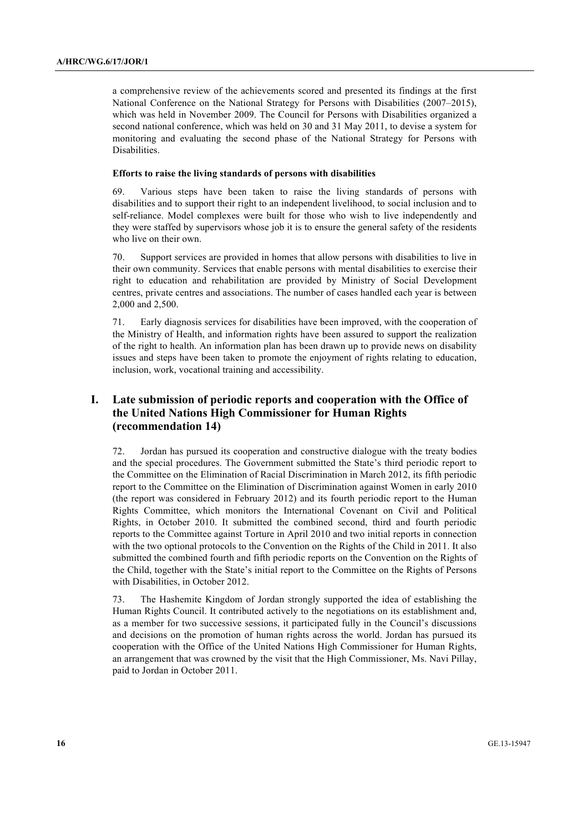a comprehensive review of the achievements scored and presented its findings at the first National Conference on the National Strategy for Persons with Disabilities (2007–2015), which was held in November 2009. The Council for Persons with Disabilities organized a second national conference, which was held on 30 and 31 May 2011, to devise a system for monitoring and evaluating the second phase of the National Strategy for Persons with Disabilities.

#### **Efforts to raise the living standards of persons with disabilities**

69. Various steps have been taken to raise the living standards of persons with disabilities and to support their right to an independent livelihood, to social inclusion and to self-reliance. Model complexes were built for those who wish to live independently and they were staffed by supervisors whose job it is to ensure the general safety of the residents who live on their own.

70. Support services are provided in homes that allow persons with disabilities to live in their own community. Services that enable persons with mental disabilities to exercise their right to education and rehabilitation are provided by Ministry of Social Development centres, private centres and associations. The number of cases handled each year is between 2,000 and 2,500.

71. Early diagnosis services for disabilities have been improved, with the cooperation of the Ministry of Health, and information rights have been assured to support the realization of the right to health. An information plan has been drawn up to provide news on disability issues and steps have been taken to promote the enjoyment of rights relating to education, inclusion, work, vocational training and accessibility.

## **I. Late submission of periodic reports and cooperation with the Office of the United Nations High Commissioner for Human Rights (recommendation 14)**

72. Jordan has pursued its cooperation and constructive dialogue with the treaty bodies and the special procedures. The Government submitted the State's third periodic report to the Committee on the Elimination of Racial Discrimination in March 2012, its fifth periodic report to the Committee on the Elimination of Discrimination against Women in early 2010 (the report was considered in February 2012) and its fourth periodic report to the Human Rights Committee, which monitors the International Covenant on Civil and Political Rights, in October 2010. It submitted the combined second, third and fourth periodic reports to the Committee against Torture in April 2010 and two initial reports in connection with the two optional protocols to the Convention on the Rights of the Child in 2011. It also submitted the combined fourth and fifth periodic reports on the Convention on the Rights of the Child, together with the State's initial report to the Committee on the Rights of Persons with Disabilities, in October 2012.

73. The Hashemite Kingdom of Jordan strongly supported the idea of establishing the Human Rights Council. It contributed actively to the negotiations on its establishment and, as a member for two successive sessions, it participated fully in the Council's discussions and decisions on the promotion of human rights across the world. Jordan has pursued its cooperation with the Office of the United Nations High Commissioner for Human Rights, an arrangement that was crowned by the visit that the High Commissioner, Ms. Navi Pillay, paid to Jordan in October 2011.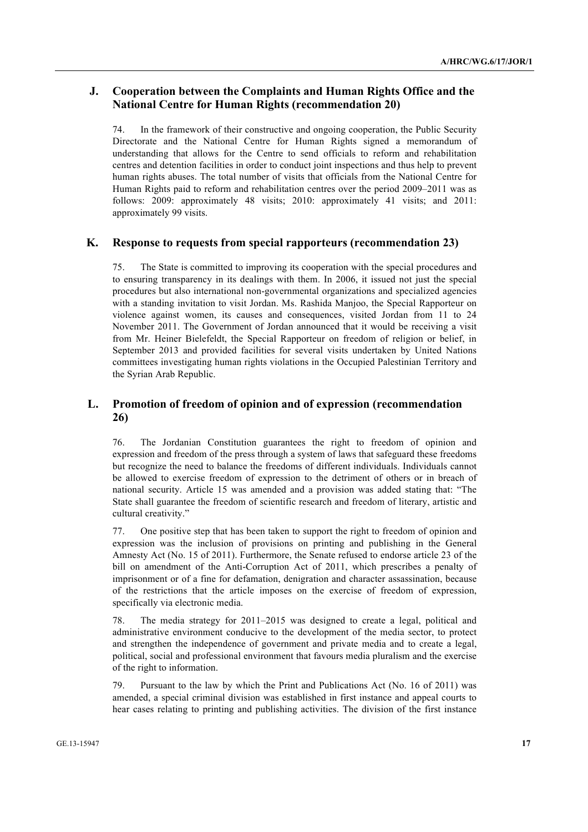### **J. Cooperation between the Complaints and Human Rights Office and the National Centre for Human Rights (recommendation 20)**

74. In the framework of their constructive and ongoing cooperation, the Public Security Directorate and the National Centre for Human Rights signed a memorandum of understanding that allows for the Centre to send officials to reform and rehabilitation centres and detention facilities in order to conduct joint inspections and thus help to prevent human rights abuses. The total number of visits that officials from the National Centre for Human Rights paid to reform and rehabilitation centres over the period 2009–2011 was as follows: 2009: approximately 48 visits; 2010: approximately 41 visits; and 2011: approximately 99 visits.

### **K. Response to requests from special rapporteurs (recommendation 23)**

75. The State is committed to improving its cooperation with the special procedures and to ensuring transparency in its dealings with them. In 2006, it issued not just the special procedures but also international non-governmental organizations and specialized agencies with a standing invitation to visit Jordan. Ms. Rashida Manjoo, the Special Rapporteur on violence against women, its causes and consequences, visited Jordan from 11 to 24 November 2011. The Government of Jordan announced that it would be receiving a visit from Mr. Heiner Bielefeldt, the Special Rapporteur on freedom of religion or belief, in September 2013 and provided facilities for several visits undertaken by United Nations committees investigating human rights violations in the Occupied Palestinian Territory and the Syrian Arab Republic.

### **L. Promotion of freedom of opinion and of expression (recommendation 26)**

76. The Jordanian Constitution guarantees the right to freedom of opinion and expression and freedom of the press through a system of laws that safeguard these freedoms but recognize the need to balance the freedoms of different individuals. Individuals cannot be allowed to exercise freedom of expression to the detriment of others or in breach of national security. Article 15 was amended and a provision was added stating that: "The State shall guarantee the freedom of scientific research and freedom of literary, artistic and cultural creativity."

One positive step that has been taken to support the right to freedom of opinion and expression was the inclusion of provisions on printing and publishing in the General Amnesty Act (No. 15 of 2011). Furthermore, the Senate refused to endorse article 23 of the bill on amendment of the Anti-Corruption Act of 2011, which prescribes a penalty of imprisonment or of a fine for defamation, denigration and character assassination, because of the restrictions that the article imposes on the exercise of freedom of expression, specifically via electronic media.

78. The media strategy for 2011–2015 was designed to create a legal, political and administrative environment conducive to the development of the media sector, to protect and strengthen the independence of government and private media and to create a legal, political, social and professional environment that favours media pluralism and the exercise of the right to information.

79. Pursuant to the law by which the Print and Publications Act (No. 16 of 2011) was amended, a special criminal division was established in first instance and appeal courts to hear cases relating to printing and publishing activities. The division of the first instance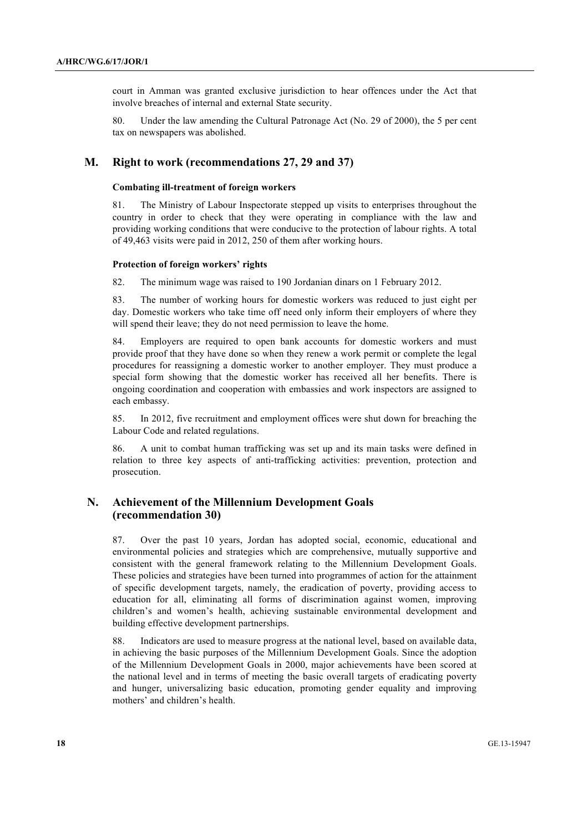court in Amman was granted exclusive jurisdiction to hear offences under the Act that involve breaches of internal and external State security.

80. Under the law amending the Cultural Patronage Act (No. 29 of 2000), the 5 per cent tax on newspapers was abolished.

### **M. Right to work (recommendations 27, 29 and 37)**

#### **Combating ill-treatment of foreign workers**

81. The Ministry of Labour Inspectorate stepped up visits to enterprises throughout the country in order to check that they were operating in compliance with the law and providing working conditions that were conducive to the protection of labour rights. A total of 49,463 visits were paid in 2012, 250 of them after working hours.

#### **Protection of foreign workers' rights**

82. The minimum wage was raised to 190 Jordanian dinars on 1 February 2012.

83. The number of working hours for domestic workers was reduced to just eight per day. Domestic workers who take time off need only inform their employers of where they will spend their leave; they do not need permission to leave the home.

84. Employers are required to open bank accounts for domestic workers and must provide proof that they have done so when they renew a work permit or complete the legal procedures for reassigning a domestic worker to another employer. They must produce a special form showing that the domestic worker has received all her benefits. There is ongoing coordination and cooperation with embassies and work inspectors are assigned to each embassy.

85. In 2012, five recruitment and employment offices were shut down for breaching the Labour Code and related regulations.

86. A unit to combat human trafficking was set up and its main tasks were defined in relation to three key aspects of anti-trafficking activities: prevention, protection and prosecution.

### **N. Achievement of the Millennium Development Goals (recommendation 30)**

87. Over the past 10 years, Jordan has adopted social, economic, educational and environmental policies and strategies which are comprehensive, mutually supportive and consistent with the general framework relating to the Millennium Development Goals. These policies and strategies have been turned into programmes of action for the attainment of specific development targets, namely, the eradication of poverty, providing access to education for all, eliminating all forms of discrimination against women, improving children's and women's health, achieving sustainable environmental development and building effective development partnerships.

88. Indicators are used to measure progress at the national level, based on available data, in achieving the basic purposes of the Millennium Development Goals. Since the adoption of the Millennium Development Goals in 2000, major achievements have been scored at the national level and in terms of meeting the basic overall targets of eradicating poverty and hunger, universalizing basic education, promoting gender equality and improving mothers' and children's health.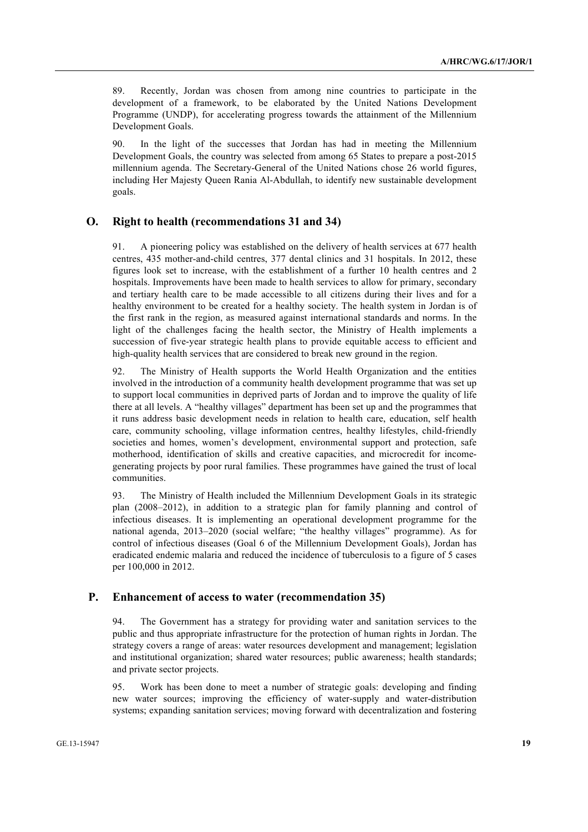89. Recently, Jordan was chosen from among nine countries to participate in the development of a framework, to be elaborated by the United Nations Development Programme (UNDP), for accelerating progress towards the attainment of the Millennium Development Goals.

90. In the light of the successes that Jordan has had in meeting the Millennium Development Goals, the country was selected from among 65 States to prepare a post-2015 millennium agenda. The Secretary-General of the United Nations chose 26 world figures, including Her Majesty Queen Rania Al-Abdullah, to identify new sustainable development goals.

### **O. Right to health (recommendations 31 and 34)**

91. A pioneering policy was established on the delivery of health services at 677 health centres, 435 mother-and-child centres, 377 dental clinics and 31 hospitals. In 2012, these figures look set to increase, with the establishment of a further 10 health centres and 2 hospitals. Improvements have been made to health services to allow for primary, secondary and tertiary health care to be made accessible to all citizens during their lives and for a healthy environment to be created for a healthy society. The health system in Jordan is of the first rank in the region, as measured against international standards and norms. In the light of the challenges facing the health sector, the Ministry of Health implements a succession of five-year strategic health plans to provide equitable access to efficient and high-quality health services that are considered to break new ground in the region.

92. The Ministry of Health supports the World Health Organization and the entities involved in the introduction of a community health development programme that was set up to support local communities in deprived parts of Jordan and to improve the quality of life there at all levels. A "healthy villages" department has been set up and the programmes that it runs address basic development needs in relation to health care, education, self health care, community schooling, village information centres, healthy lifestyles, child-friendly societies and homes, women's development, environmental support and protection, safe motherhood, identification of skills and creative capacities, and microcredit for incomegenerating projects by poor rural families. These programmes have gained the trust of local communities.

93. The Ministry of Health included the Millennium Development Goals in its strategic plan (2008–2012), in addition to a strategic plan for family planning and control of infectious diseases. It is implementing an operational development programme for the national agenda, 2013–2020 (social welfare; "the healthy villages" programme). As for control of infectious diseases (Goal 6 of the Millennium Development Goals), Jordan has eradicated endemic malaria and reduced the incidence of tuberculosis to a figure of 5 cases per 100,000 in 2012.

#### **P. Enhancement of access to water (recommendation 35)**

94. The Government has a strategy for providing water and sanitation services to the public and thus appropriate infrastructure for the protection of human rights in Jordan. The strategy covers a range of areas: water resources development and management; legislation and institutional organization; shared water resources; public awareness; health standards; and private sector projects.

95. Work has been done to meet a number of strategic goals: developing and finding new water sources; improving the efficiency of water-supply and water-distribution systems; expanding sanitation services; moving forward with decentralization and fostering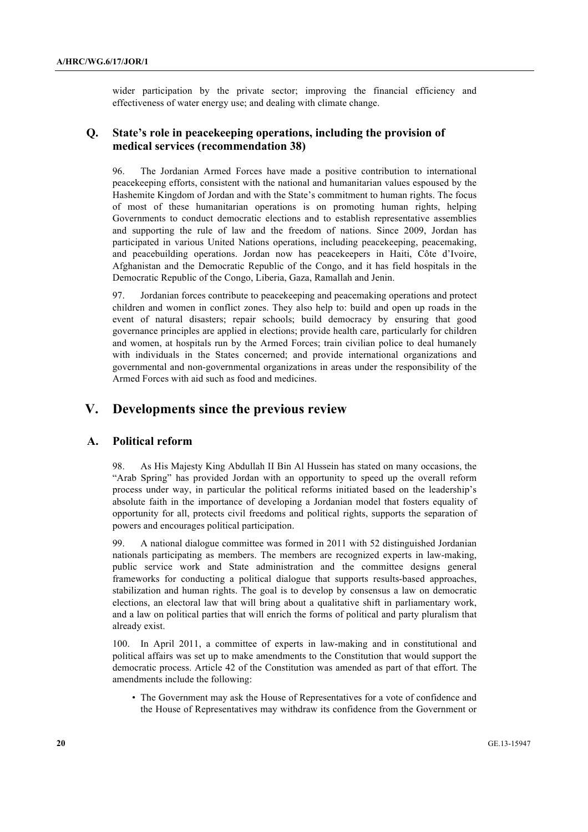wider participation by the private sector; improving the financial efficiency and effectiveness of water energy use; and dealing with climate change.

### **Q. State's role in peacekeeping operations, including the provision of medical services (recommendation 38)**

96. The Jordanian Armed Forces have made a positive contribution to international peacekeeping efforts, consistent with the national and humanitarian values espoused by the Hashemite Kingdom of Jordan and with the State's commitment to human rights. The focus of most of these humanitarian operations is on promoting human rights, helping Governments to conduct democratic elections and to establish representative assemblies and supporting the rule of law and the freedom of nations. Since 2009, Jordan has participated in various United Nations operations, including peacekeeping, peacemaking, and peacebuilding operations. Jordan now has peacekeepers in Haiti, Côte d'Ivoire, Afghanistan and the Democratic Republic of the Congo, and it has field hospitals in the Democratic Republic of the Congo, Liberia, Gaza, Ramallah and Jenin.

97. Jordanian forces contribute to peacekeeping and peacemaking operations and protect children and women in conflict zones. They also help to: build and open up roads in the event of natural disasters; repair schools; build democracy by ensuring that good governance principles are applied in elections; provide health care, particularly for children and women, at hospitals run by the Armed Forces; train civilian police to deal humanely with individuals in the States concerned; and provide international organizations and governmental and non-governmental organizations in areas under the responsibility of the Armed Forces with aid such as food and medicines.

# **V. Developments since the previous review**

### **A. Political reform**

98. As His Majesty King Abdullah II Bin Al Hussein has stated on many occasions, the "Arab Spring" has provided Jordan with an opportunity to speed up the overall reform process under way, in particular the political reforms initiated based on the leadership's absolute faith in the importance of developing a Jordanian model that fosters equality of opportunity for all, protects civil freedoms and political rights, supports the separation of powers and encourages political participation.

99. A national dialogue committee was formed in 2011 with 52 distinguished Jordanian nationals participating as members. The members are recognized experts in law-making, public service work and State administration and the committee designs general frameworks for conducting a political dialogue that supports results-based approaches, stabilization and human rights. The goal is to develop by consensus a law on democratic elections, an electoral law that will bring about a qualitative shift in parliamentary work, and a law on political parties that will enrich the forms of political and party pluralism that already exist.

100. In April 2011, a committee of experts in law-making and in constitutional and political affairs was set up to make amendments to the Constitution that would support the democratic process. Article 42 of the Constitution was amended as part of that effort. The amendments include the following:

• The Government may ask the House of Representatives for a vote of confidence and the House of Representatives may withdraw its confidence from the Government or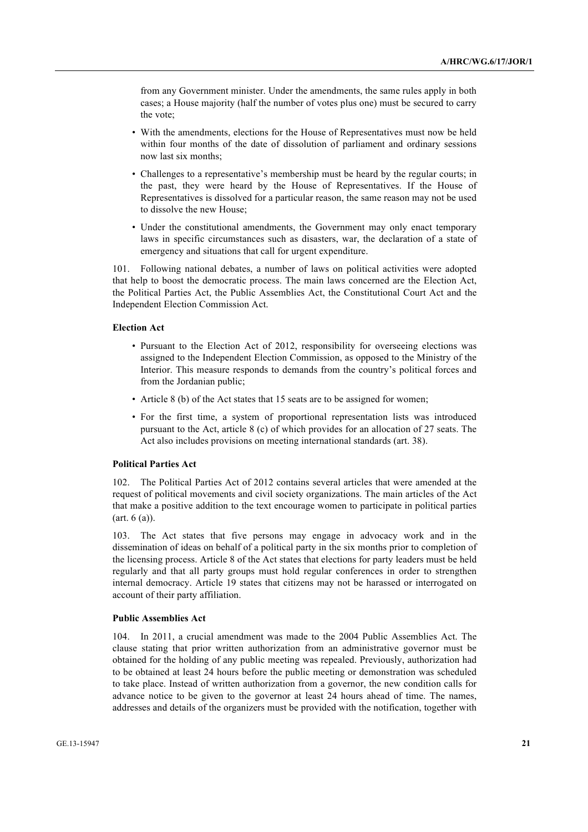from any Government minister. Under the amendments, the same rules apply in both cases; a House majority (half the number of votes plus one) must be secured to carry the vote;

- With the amendments, elections for the House of Representatives must now be held within four months of the date of dissolution of parliament and ordinary sessions now last six months;
- Challenges to a representative's membership must be heard by the regular courts; in the past, they were heard by the House of Representatives. If the House of Representatives is dissolved for a particular reason, the same reason may not be used to dissolve the new House;
- Under the constitutional amendments, the Government may only enact temporary laws in specific circumstances such as disasters, war, the declaration of a state of emergency and situations that call for urgent expenditure.

101. Following national debates, a number of laws on political activities were adopted that help to boost the democratic process. The main laws concerned are the Election Act, the Political Parties Act, the Public Assemblies Act, the Constitutional Court Act and the Independent Election Commission Act.

#### **Election Act**

- Pursuant to the Election Act of 2012, responsibility for overseeing elections was assigned to the Independent Election Commission, as opposed to the Ministry of the Interior. This measure responds to demands from the country's political forces and from the Jordanian public;
- Article 8 (b) of the Act states that 15 seats are to be assigned for women;
- For the first time, a system of proportional representation lists was introduced pursuant to the Act, article 8 (c) of which provides for an allocation of 27 seats. The Act also includes provisions on meeting international standards (art. 38).

### **Political Parties Act**

102. The Political Parties Act of 2012 contains several articles that were amended at the request of political movements and civil society organizations. The main articles of the Act that make a positive addition to the text encourage women to participate in political parties (art. 6 (a)).

103. The Act states that five persons may engage in advocacy work and in the dissemination of ideas on behalf of a political party in the six months prior to completion of the licensing process. Article 8 of the Act states that elections for party leaders must be held regularly and that all party groups must hold regular conferences in order to strengthen internal democracy. Article 19 states that citizens may not be harassed or interrogated on account of their party affiliation.

#### **Public Assemblies Act**

104. In 2011, a crucial amendment was made to the 2004 Public Assemblies Act. The clause stating that prior written authorization from an administrative governor must be obtained for the holding of any public meeting was repealed. Previously, authorization had to be obtained at least 24 hours before the public meeting or demonstration was scheduled to take place. Instead of written authorization from a governor, the new condition calls for advance notice to be given to the governor at least 24 hours ahead of time. The names, addresses and details of the organizers must be provided with the notification, together with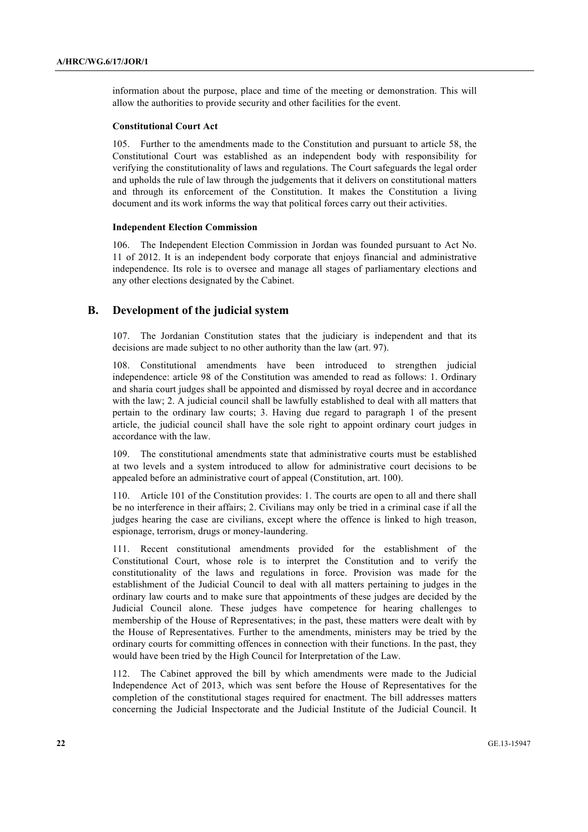information about the purpose, place and time of the meeting or demonstration. This will allow the authorities to provide security and other facilities for the event.

#### **Constitutional Court Act**

105. Further to the amendments made to the Constitution and pursuant to article 58, the Constitutional Court was established as an independent body with responsibility for verifying the constitutionality of laws and regulations. The Court safeguards the legal order and upholds the rule of law through the judgements that it delivers on constitutional matters and through its enforcement of the Constitution. It makes the Constitution a living document and its work informs the way that political forces carry out their activities.

#### **Independent Election Commission**

106. The Independent Election Commission in Jordan was founded pursuant to Act No. 11 of 2012. It is an independent body corporate that enjoys financial and administrative independence. Its role is to oversee and manage all stages of parliamentary elections and any other elections designated by the Cabinet.

### **B. Development of the judicial system**

107. The Jordanian Constitution states that the judiciary is independent and that its decisions are made subject to no other authority than the law (art. 97).

108. Constitutional amendments have been introduced to strengthen judicial independence: article 98 of the Constitution was amended to read as follows: 1. Ordinary and sharia court judges shall be appointed and dismissed by royal decree and in accordance with the law; 2. A judicial council shall be lawfully established to deal with all matters that pertain to the ordinary law courts; 3. Having due regard to paragraph 1 of the present article, the judicial council shall have the sole right to appoint ordinary court judges in accordance with the law.

109. The constitutional amendments state that administrative courts must be established at two levels and a system introduced to allow for administrative court decisions to be appealed before an administrative court of appeal (Constitution, art. 100).

110. Article 101 of the Constitution provides: 1. The courts are open to all and there shall be no interference in their affairs; 2. Civilians may only be tried in a criminal case if all the judges hearing the case are civilians, except where the offence is linked to high treason, espionage, terrorism, drugs or money-laundering.

111. Recent constitutional amendments provided for the establishment of the Constitutional Court, whose role is to interpret the Constitution and to verify the constitutionality of the laws and regulations in force. Provision was made for the establishment of the Judicial Council to deal with all matters pertaining to judges in the ordinary law courts and to make sure that appointments of these judges are decided by the Judicial Council alone. These judges have competence for hearing challenges to membership of the House of Representatives; in the past, these matters were dealt with by the House of Representatives. Further to the amendments, ministers may be tried by the ordinary courts for committing offences in connection with their functions. In the past, they would have been tried by the High Council for Interpretation of the Law.

112. The Cabinet approved the bill by which amendments were made to the Judicial Independence Act of 2013, which was sent before the House of Representatives for the completion of the constitutional stages required for enactment. The bill addresses matters concerning the Judicial Inspectorate and the Judicial Institute of the Judicial Council. It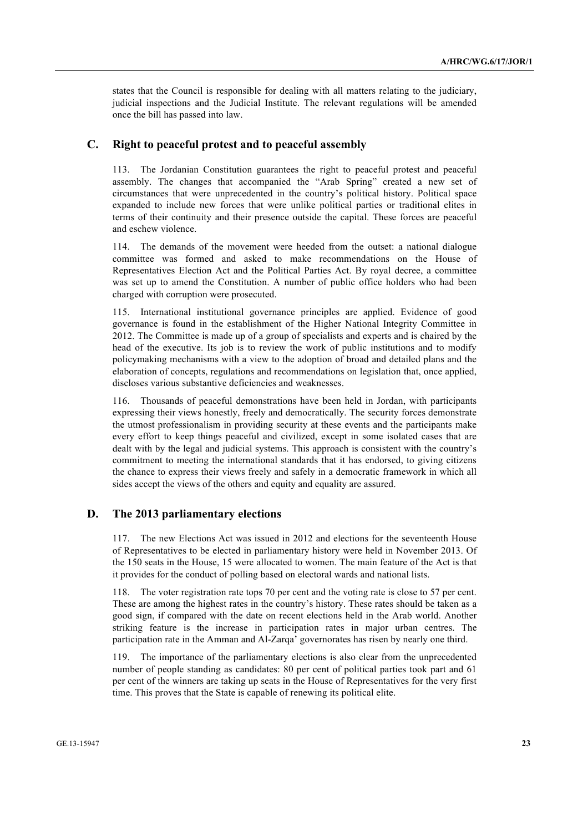states that the Council is responsible for dealing with all matters relating to the judiciary, judicial inspections and the Judicial Institute. The relevant regulations will be amended once the bill has passed into law.

### **C. Right to peaceful protest and to peaceful assembly**

113. The Jordanian Constitution guarantees the right to peaceful protest and peaceful assembly. The changes that accompanied the "Arab Spring" created a new set of circumstances that were unprecedented in the country's political history. Political space expanded to include new forces that were unlike political parties or traditional elites in terms of their continuity and their presence outside the capital. These forces are peaceful and eschew violence.

114. The demands of the movement were heeded from the outset: a national dialogue committee was formed and asked to make recommendations on the House of Representatives Election Act and the Political Parties Act. By royal decree, a committee was set up to amend the Constitution. A number of public office holders who had been charged with corruption were prosecuted.

115. International institutional governance principles are applied. Evidence of good governance is found in the establishment of the Higher National Integrity Committee in 2012. The Committee is made up of a group of specialists and experts and is chaired by the head of the executive. Its job is to review the work of public institutions and to modify policymaking mechanisms with a view to the adoption of broad and detailed plans and the elaboration of concepts, regulations and recommendations on legislation that, once applied, discloses various substantive deficiencies and weaknesses.

116. Thousands of peaceful demonstrations have been held in Jordan, with participants expressing their views honestly, freely and democratically. The security forces demonstrate the utmost professionalism in providing security at these events and the participants make every effort to keep things peaceful and civilized, except in some isolated cases that are dealt with by the legal and judicial systems. This approach is consistent with the country's commitment to meeting the international standards that it has endorsed, to giving citizens the chance to express their views freely and safely in a democratic framework in which all sides accept the views of the others and equity and equality are assured.

### **D. The 2013 parliamentary elections**

117. The new Elections Act was issued in 2012 and elections for the seventeenth House of Representatives to be elected in parliamentary history were held in November 2013. Of the 150 seats in the House, 15 were allocated to women. The main feature of the Act is that it provides for the conduct of polling based on electoral wards and national lists.

118. The voter registration rate tops 70 per cent and the voting rate is close to 57 per cent. These are among the highest rates in the country's history. These rates should be taken as a good sign, if compared with the date on recent elections held in the Arab world. Another striking feature is the increase in participation rates in major urban centres. The participation rate in the Amman and Al-Zarqa' governorates has risen by nearly one third.

119. The importance of the parliamentary elections is also clear from the unprecedented number of people standing as candidates: 80 per cent of political parties took part and 61 per cent of the winners are taking up seats in the House of Representatives for the very first time. This proves that the State is capable of renewing its political elite.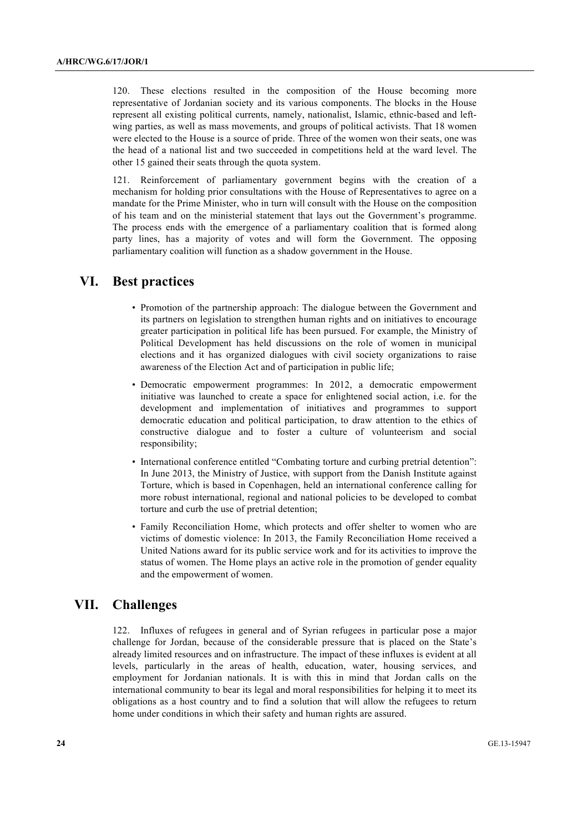120. These elections resulted in the composition of the House becoming more representative of Jordanian society and its various components. The blocks in the House represent all existing political currents, namely, nationalist, Islamic, ethnic-based and leftwing parties, as well as mass movements, and groups of political activists. That 18 women were elected to the House is a source of pride. Three of the women won their seats, one was the head of a national list and two succeeded in competitions held at the ward level. The other 15 gained their seats through the quota system.

121. Reinforcement of parliamentary government begins with the creation of a mechanism for holding prior consultations with the House of Representatives to agree on a mandate for the Prime Minister, who in turn will consult with the House on the composition of his team and on the ministerial statement that lays out the Government's programme. The process ends with the emergence of a parliamentary coalition that is formed along party lines, has a majority of votes and will form the Government. The opposing parliamentary coalition will function as a shadow government in the House.

# **VI. Best practices**

- Promotion of the partnership approach: The dialogue between the Government and its partners on legislation to strengthen human rights and on initiatives to encourage greater participation in political life has been pursued. For example, the Ministry of Political Development has held discussions on the role of women in municipal elections and it has organized dialogues with civil society organizations to raise awareness of the Election Act and of participation in public life;
- Democratic empowerment programmes: In 2012, a democratic empowerment initiative was launched to create a space for enlightened social action, i.e. for the development and implementation of initiatives and programmes to support democratic education and political participation, to draw attention to the ethics of constructive dialogue and to foster a culture of volunteerism and social responsibility;
- International conference entitled "Combating torture and curbing pretrial detention": In June 2013, the Ministry of Justice, with support from the Danish Institute against Torture, which is based in Copenhagen, held an international conference calling for more robust international, regional and national policies to be developed to combat torture and curb the use of pretrial detention;
- Family Reconciliation Home, which protects and offer shelter to women who are victims of domestic violence: In 2013, the Family Reconciliation Home received a United Nations award for its public service work and for its activities to improve the status of women. The Home plays an active role in the promotion of gender equality and the empowerment of women.

# **VII. Challenges**

122. Influxes of refugees in general and of Syrian refugees in particular pose a major challenge for Jordan, because of the considerable pressure that is placed on the State's already limited resources and on infrastructure. The impact of these influxes is evident at all levels, particularly in the areas of health, education, water, housing services, and employment for Jordanian nationals. It is with this in mind that Jordan calls on the international community to bear its legal and moral responsibilities for helping it to meet its obligations as a host country and to find a solution that will allow the refugees to return home under conditions in which their safety and human rights are assured.